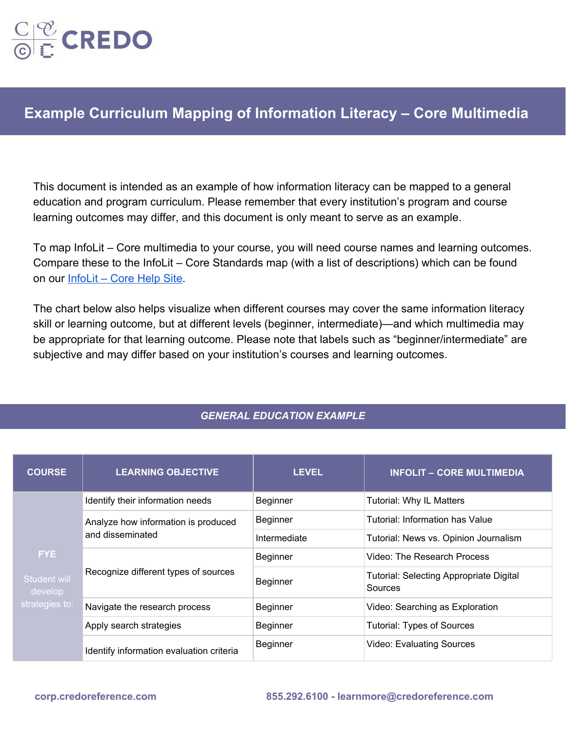

## **Example Curriculum Mapping of Information Literacy – Core Multimedia**

This document is intended as an example of how information literacy can be mapped to a general education and program curriculum. Please remember that every institution's program and course learning outcomes may differ, and this document is only meant to serve as an example.

To map InfoLit – Core multimedia to your course, you will need course names and learning outcomes. Compare these to the InfoLit – Core Standards map (with a list of descriptions) which can be found on our [InfoLit – Core Help Site](https://credoinfolit.zendesk.com/hc/en-us).

The chart below also helps visualize when different courses may cover the same information literacy skill or learning outcome, but at different levels (beginner, intermediate)—and which multimedia may be appropriate for that learning outcome. Please note that labels such as "beginner/intermediate" are subjective and may differ based on your institution's courses and learning outcomes.

## *GENERAL EDUCATION EXAMPLE*

| <b>COURSE</b>                                     | <b>LEARNING OBJECTIVE</b>                               | LEVEL.       | <b>INFOLIT - CORE MULTIMEDIA</b>                          |
|---------------------------------------------------|---------------------------------------------------------|--------------|-----------------------------------------------------------|
| FYE.<br>Student will<br>develop<br>strategies to: | Identify their information needs                        | Beginner     | <b>Tutorial: Why IL Matters</b>                           |
|                                                   | Analyze how information is produced<br>and disseminated | Beginner     | Tutorial: Information has Value                           |
|                                                   |                                                         | Intermediate | Tutorial: News vs. Opinion Journalism                     |
|                                                   | Recognize different types of sources                    | Beginner     | Video: The Research Process                               |
|                                                   |                                                         | Beginner     | <b>Tutorial: Selecting Appropriate Digital</b><br>Sources |
|                                                   | Navigate the research process                           | Beginner     | Video: Searching as Exploration                           |
|                                                   | Apply search strategies                                 | Beginner     | <b>Tutorial: Types of Sources</b>                         |
|                                                   | Identify information evaluation criteria                | Beginner     | <b>Video: Evaluating Sources</b>                          |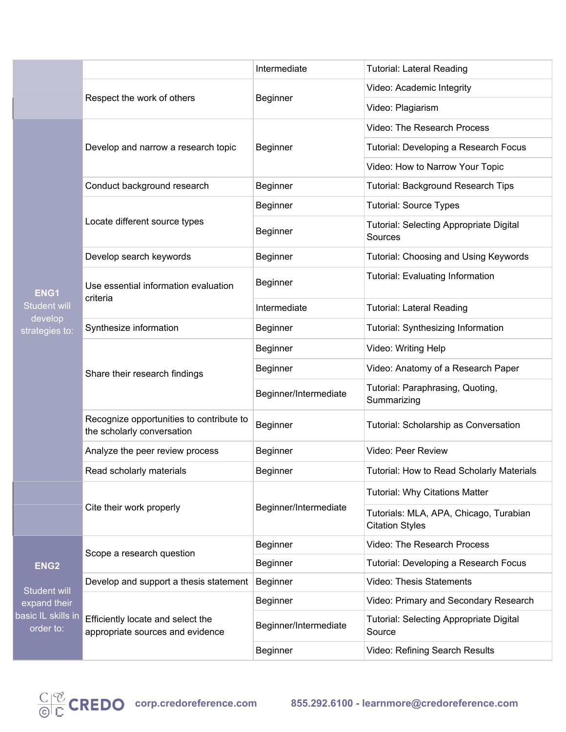|                                                                                     |                                                                        | Intermediate          | <b>Tutorial: Lateral Reading</b>                                 |
|-------------------------------------------------------------------------------------|------------------------------------------------------------------------|-----------------------|------------------------------------------------------------------|
|                                                                                     | Respect the work of others                                             | <b>Beginner</b>       | Video: Academic Integrity                                        |
|                                                                                     |                                                                        |                       | Video: Plagiarism                                                |
|                                                                                     | Develop and narrow a research topic                                    | Beginner              | <b>Video: The Research Process</b>                               |
|                                                                                     |                                                                        |                       | Tutorial: Developing a Research Focus                            |
|                                                                                     |                                                                        |                       | Video: How to Narrow Your Topic                                  |
|                                                                                     | Conduct background research                                            | Beginner              | <b>Tutorial: Background Research Tips</b>                        |
|                                                                                     |                                                                        | Beginner              | <b>Tutorial: Source Types</b>                                    |
|                                                                                     | Locate different source types                                          | Beginner              | <b>Tutorial: Selecting Appropriate Digital</b><br>Sources        |
|                                                                                     | Develop search keywords                                                | <b>Beginner</b>       | Tutorial: Choosing and Using Keywords                            |
| <b>ENG1</b><br><b>Student will</b>                                                  | Use essential information evaluation<br>criteria                       | Beginner              | <b>Tutorial: Evaluating Information</b>                          |
|                                                                                     |                                                                        | Intermediate          | <b>Tutorial: Lateral Reading</b>                                 |
| develop<br>strategies to:                                                           | Synthesize information                                                 | Beginner              | Tutorial: Synthesizing Information                               |
|                                                                                     | Share their research findings                                          | <b>Beginner</b>       | Video: Writing Help                                              |
|                                                                                     |                                                                        | Beginner              | Video: Anatomy of a Research Paper                               |
|                                                                                     |                                                                        | Beginner/Intermediate | Tutorial: Paraphrasing, Quoting,<br>Summarizing                  |
|                                                                                     | Recognize opportunities to contribute to<br>the scholarly conversation | Beginner              | Tutorial: Scholarship as Conversation                            |
|                                                                                     | Analyze the peer review process                                        | Beginner              | Video: Peer Review                                               |
|                                                                                     | Read scholarly materials                                               | Beginner              | Tutorial: How to Read Scholarly Materials                        |
|                                                                                     |                                                                        |                       | <b>Tutorial: Why Citations Matter</b>                            |
|                                                                                     | Cite their work properly                                               | Beginner/Intermediate | Tutorials: MLA, APA, Chicago, Turabian<br><b>Citation Styles</b> |
|                                                                                     | Scope a research question                                              | <b>Beginner</b>       | Video: The Research Process                                      |
| ENG <sub>2</sub><br>Student will<br>expand their<br>basic IL skills in<br>order to: |                                                                        | <b>Beginner</b>       | Tutorial: Developing a Research Focus                            |
|                                                                                     | Develop and support a thesis statement                                 | Beginner              | <b>Video: Thesis Statements</b>                                  |
|                                                                                     | Efficiently locate and select the<br>appropriate sources and evidence  | Beginner              | Video: Primary and Secondary Research                            |
|                                                                                     |                                                                        | Beginner/Intermediate | <b>Tutorial: Selecting Appropriate Digital</b><br>Source         |
|                                                                                     |                                                                        | <b>Beginner</b>       | Video: Refining Search Results                                   |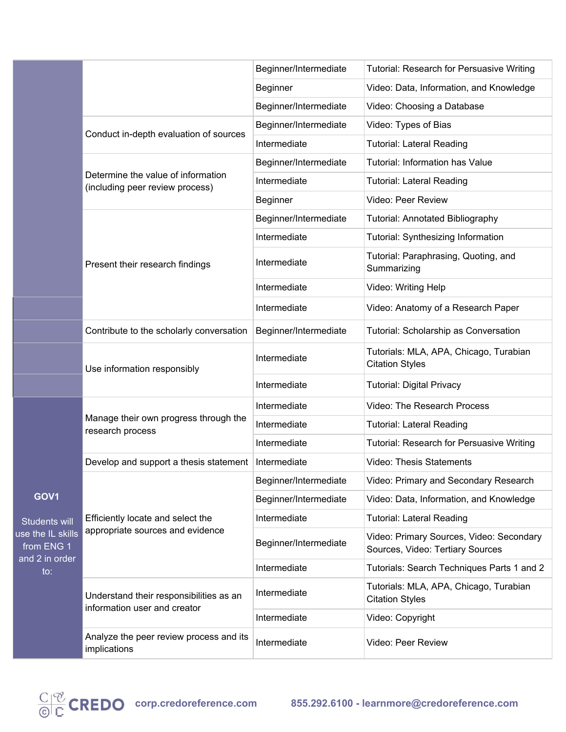|                                                                                              |                                                                         | Beginner/Intermediate | Tutorial: Research for Persuasive Writing                                    |
|----------------------------------------------------------------------------------------------|-------------------------------------------------------------------------|-----------------------|------------------------------------------------------------------------------|
|                                                                                              |                                                                         | Beginner              | Video: Data, Information, and Knowledge                                      |
|                                                                                              |                                                                         | Beginner/Intermediate | Video: Choosing a Database                                                   |
|                                                                                              | Conduct in-depth evaluation of sources                                  | Beginner/Intermediate | Video: Types of Bias                                                         |
|                                                                                              |                                                                         | Intermediate          | <b>Tutorial: Lateral Reading</b>                                             |
|                                                                                              | Determine the value of information<br>(including peer review process)   | Beginner/Intermediate | <b>Tutorial: Information has Value</b>                                       |
|                                                                                              |                                                                         | Intermediate          | <b>Tutorial: Lateral Reading</b>                                             |
|                                                                                              |                                                                         | Beginner              | Video: Peer Review                                                           |
|                                                                                              |                                                                         | Beginner/Intermediate | <b>Tutorial: Annotated Bibliography</b>                                      |
|                                                                                              |                                                                         | Intermediate          | Tutorial: Synthesizing Information                                           |
|                                                                                              | Present their research findings                                         | Intermediate          | Tutorial: Paraphrasing, Quoting, and<br>Summarizing                          |
|                                                                                              |                                                                         | Intermediate          | Video: Writing Help                                                          |
|                                                                                              |                                                                         | Intermediate          | Video: Anatomy of a Research Paper                                           |
|                                                                                              | Contribute to the scholarly conversation                                | Beginner/Intermediate | Tutorial: Scholarship as Conversation                                        |
|                                                                                              | Use information responsibly                                             | Intermediate          | Tutorials: MLA, APA, Chicago, Turabian<br><b>Citation Styles</b>             |
|                                                                                              |                                                                         | Intermediate          | <b>Tutorial: Digital Privacy</b>                                             |
|                                                                                              | Manage their own progress through the<br>research process               | Intermediate          | Video: The Research Process                                                  |
|                                                                                              |                                                                         | Intermediate          | <b>Tutorial: Lateral Reading</b>                                             |
|                                                                                              |                                                                         | Intermediate          | Tutorial: Research for Persuasive Writing                                    |
|                                                                                              | Develop and support a thesis statement                                  | Intermediate          | <b>Video: Thesis Statements</b>                                              |
|                                                                                              | Efficiently locate and select the<br>appropriate sources and evidence   | Beginner/Intermediate | Video: Primary and Secondary Research                                        |
| GOV <sub>1</sub>                                                                             |                                                                         | Beginner/Intermediate | Video: Data, Information, and Knowledge                                      |
| <b>Students will</b><br>use the IL skills<br>from ENG 1<br>and 2 in order<br>$\mathsf{to}$ : |                                                                         | Intermediate          | <b>Tutorial: Lateral Reading</b>                                             |
|                                                                                              |                                                                         | Beginner/Intermediate | Video: Primary Sources, Video: Secondary<br>Sources, Video: Tertiary Sources |
|                                                                                              |                                                                         | Intermediate          | Tutorials: Search Techniques Parts 1 and 2                                   |
|                                                                                              | Understand their responsibilities as an<br>information user and creator | Intermediate          | Tutorials: MLA, APA, Chicago, Turabian<br><b>Citation Styles</b>             |
|                                                                                              |                                                                         | Intermediate          | Video: Copyright                                                             |
|                                                                                              | Analyze the peer review process and its<br>implications                 | Intermediate          | Video: Peer Review                                                           |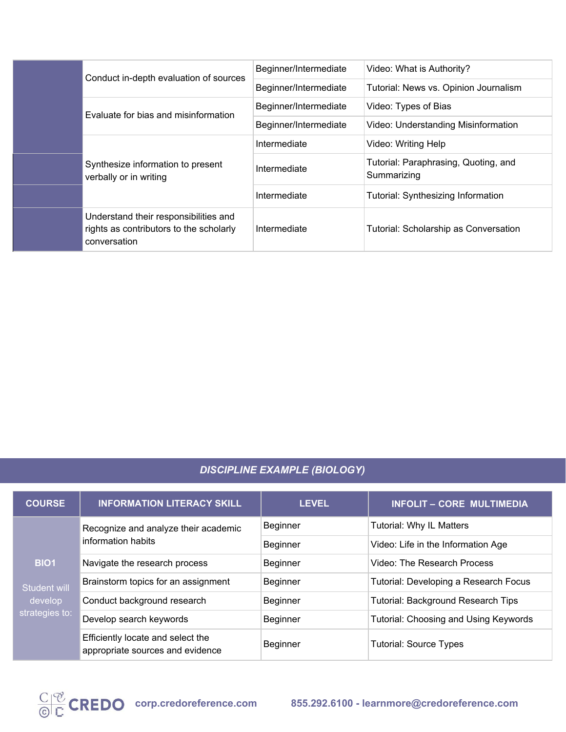|  | Conduct in-depth evaluation of sources                                                              | Beginner/Intermediate | Video: What is Authority?                           |
|--|-----------------------------------------------------------------------------------------------------|-----------------------|-----------------------------------------------------|
|  |                                                                                                     | Beginner/Intermediate | Tutorial: News vs. Opinion Journalism               |
|  | Evaluate for bias and misinformation<br>Synthesize information to present<br>verbally or in writing | Beginner/Intermediate | Video: Types of Bias                                |
|  |                                                                                                     | Beginner/Intermediate | Video: Understanding Misinformation                 |
|  |                                                                                                     | Intermediate          | Video: Writing Help                                 |
|  |                                                                                                     | Intermediate          | Tutorial: Paraphrasing, Quoting, and<br>Summarizing |
|  |                                                                                                     | Intermediate          | <b>Tutorial: Synthesizing Information</b>           |
|  | Understand their responsibilities and<br>rights as contributors to the scholarly<br>conversation    | Intermediate          | Tutorial: Scholarship as Conversation               |

## *DISCIPLINE EXAMPLE (BIOLOGY)*

| <b>COURSE</b>                                                   | <b>INFORMATION LITERACY SKILL</b>                                     | <b>LEVEL</b>    | <b>INFOLIT - CORE MULTIMEDIA</b>             |
|-----------------------------------------------------------------|-----------------------------------------------------------------------|-----------------|----------------------------------------------|
| <b>BIO1</b><br><b>Student will</b><br>develop<br>strategies to: | Recognize and analyze their academic<br>information habits            | Beginner        | Tutorial: Why IL Matters                     |
|                                                                 |                                                                       | <b>Beginner</b> | Video: Life in the Information Age           |
|                                                                 | Navigate the research process                                         | <b>Beginner</b> | Video: The Research Process                  |
|                                                                 | Brainstorm topics for an assignment                                   | Beginner        | Tutorial: Developing a Research Focus        |
|                                                                 | Conduct background research                                           | Beginner        | Tutorial: Background Research Tips           |
|                                                                 | Develop search keywords                                               | <b>Beginner</b> | <b>Tutorial: Choosing and Using Keywords</b> |
|                                                                 | Efficiently locate and select the<br>appropriate sources and evidence | <b>Beginner</b> | <b>Tutorial: Source Types</b>                |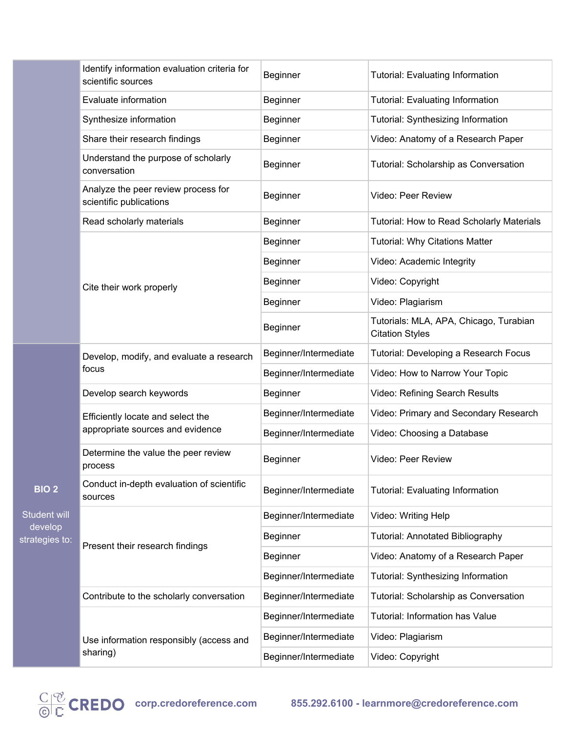|                                                           | Identify information evaluation criteria for<br>scientific sources    | Beginner              | Tutorial: Evaluating Information                                 |
|-----------------------------------------------------------|-----------------------------------------------------------------------|-----------------------|------------------------------------------------------------------|
|                                                           | Evaluate information                                                  | Beginner              | <b>Tutorial: Evaluating Information</b>                          |
|                                                           | Synthesize information                                                | Beginner              | Tutorial: Synthesizing Information                               |
|                                                           | Share their research findings                                         | Beginner              | Video: Anatomy of a Research Paper                               |
|                                                           | Understand the purpose of scholarly<br>conversation                   | Beginner              | Tutorial: Scholarship as Conversation                            |
|                                                           | Analyze the peer review process for<br>scientific publications        | Beginner              | Video: Peer Review                                               |
|                                                           | Read scholarly materials                                              | Beginner              | Tutorial: How to Read Scholarly Materials                        |
|                                                           |                                                                       | Beginner              | <b>Tutorial: Why Citations Matter</b>                            |
|                                                           |                                                                       | Beginner              | Video: Academic Integrity                                        |
|                                                           | Cite their work properly                                              | Beginner              | Video: Copyright                                                 |
|                                                           |                                                                       | Beginner              | Video: Plagiarism                                                |
|                                                           |                                                                       | Beginner              | Tutorials: MLA, APA, Chicago, Turabian<br><b>Citation Styles</b> |
|                                                           | Develop, modify, and evaluate a research<br>focus                     | Beginner/Intermediate | Tutorial: Developing a Research Focus                            |
|                                                           |                                                                       | Beginner/Intermediate | Video: How to Narrow Your Topic                                  |
|                                                           | Develop search keywords                                               | Beginner              | Video: Refining Search Results                                   |
|                                                           | Efficiently locate and select the<br>appropriate sources and evidence | Beginner/Intermediate | Video: Primary and Secondary Research                            |
|                                                           |                                                                       | Beginner/Intermediate | Video: Choosing a Database                                       |
| <b>BIO 2</b><br>Student will<br>develop<br>strategies to: | Determine the value the peer review<br>process                        | Beginner              | Video: Peer Review                                               |
|                                                           | Conduct in-depth evaluation of scientific<br>sources                  | Beginner/Intermediate | <b>Tutorial: Evaluating Information</b>                          |
|                                                           | Present their research findings                                       | Beginner/Intermediate | Video: Writing Help                                              |
|                                                           |                                                                       | Beginner              | <b>Tutorial: Annotated Bibliography</b>                          |
|                                                           |                                                                       | Beginner              | Video: Anatomy of a Research Paper                               |
|                                                           |                                                                       | Beginner/Intermediate | Tutorial: Synthesizing Information                               |
|                                                           | Contribute to the scholarly conversation                              | Beginner/Intermediate | Tutorial: Scholarship as Conversation                            |
|                                                           | Use information responsibly (access and<br>sharing)                   | Beginner/Intermediate | Tutorial: Information has Value                                  |
|                                                           |                                                                       | Beginner/Intermediate | Video: Plagiarism                                                |
|                                                           |                                                                       | Beginner/Intermediate | Video: Copyright                                                 |

deve strategi